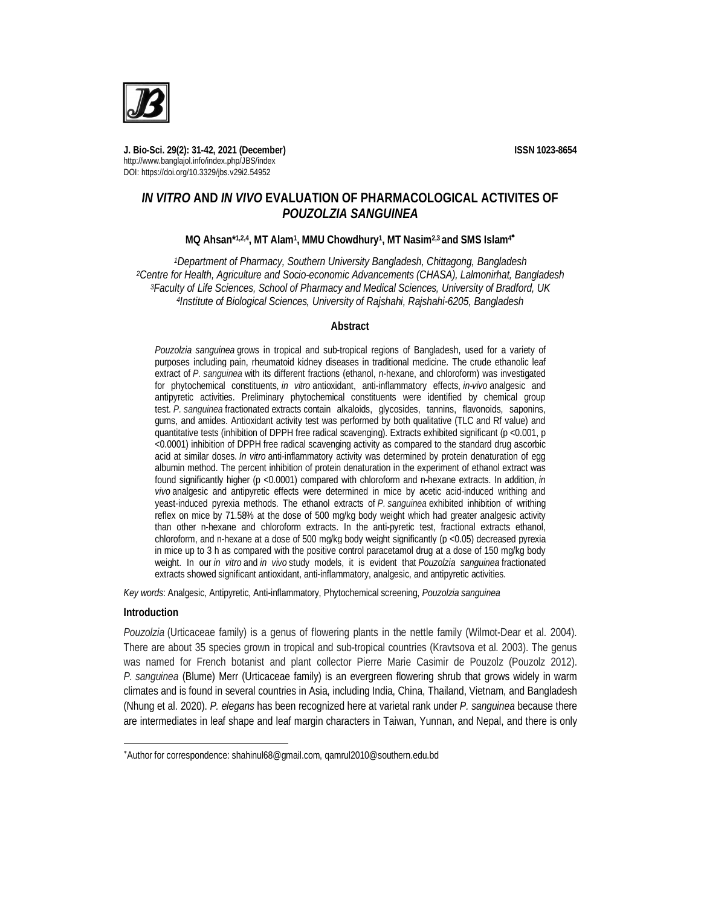**J. Bio-Sci. 29(2): 31-42, 2021 (December) ISSN 1023-8654** http://www.banglajol.info/index.php/JBS/index DOI: https://doi.org/10.3329/jbs.v29i2.54952

# *IN VITRO* **AND** *IN VIVO* **EVALUATION OF PHARMACOLOGICAL ACTIVITES OF**  *POUZOLZIA SANGUINEA*

# **MQ Ahsan\*1,2,4, MT Alam<sup>1</sup> , MMU Chowdhury<sup>1</sup> , MT Nasim2,3 and SMS Islam<sup>4</sup>**

*Department of Pharmacy, Southern University Bangladesh, Chittagong, Bangladesh Centre for Health, Agriculture and Socio-economic Advancements (CHASA), Lalmonirhat, Bangladesh Faculty of Life Sciences, School of Pharmacy and Medical Sciences, University of Bradford, UK Institute of Biological Sciences, University of Rajshahi, Rajshahi-6205, Bangladesh*

#### **Abstract**

*Pouzolzia sanguinea* grows in tropical and sub-tropical regions of Bangladesh, used for a variety of purposes including pain, rheumatoid kidney diseases in traditional medicine. The crude ethanolic leaf extract of *P. sanguinea* with its different fractions (ethanol, n-hexane, and chloroform) was investigated for phytochemical constituents, *in vitro* antioxidant, anti-inflammatory effects, *in-vivo* analgesic and antipyretic activities. Preliminary phytochemical constituents were identified by chemical group test. *P. sanguinea* fractionated extracts contain alkaloids, glycosides, tannins, flavonoids, saponins, gums, and amides. Antioxidant activity test was performed by both qualitative (TLC and Rf value) and quantitative tests (inhibition of DPPH free radical scavenging). Extracts exhibited significant (p <0.001, p <0.0001) inhibition of DPPH free radical scavenging activity as compared to the standard drug ascorbic acid at similar doses. *In vitro* anti-inflammatory activity was determined by protein denaturation of egg albumin method. The percent inhibition of protein denaturation in the experiment of ethanol extract was found significantly higher (p <0.0001) compared with chloroform and n-hexane extracts. In addition, *in vivo* analgesic and antipyretic effects were determined in mice by acetic acid-induced writhing and yeast-induced pyrexia methods. The ethanol extracts of *P. sanguinea* exhibited inhibition of writhing reflex on mice by 71.58% at the dose of 500 mg/kg body weight which had greater analgesic activity than other n-hexane and chloroform extracts. In the anti-pyretic test, fractional extracts ethanol, chloroform, and n-hexane at a dose of 500 mg/kg body weight significantly (p <0.05) decreased pyrexia in mice up to 3 h as compared with the positive control paracetamol drug at a dose of 150 mg/kg body weight. In our *in vitro* and *in vivo* study models, it is evident that *Pouzolzia sanguinea* fractionated extracts showed significant antioxidant, anti-inflammatory, analgesic, and antipyretic activities.

*Key words*: Analgesic, Antipyretic, Anti-inflammatory, Phytochemical screening, *Pouzolzia sanguinea*

### **Introduction**

 $\overline{a}$ 

*Pouzolzia* (Urticaceae family) is a genus of flowering plants in the nettle family (Wilmot-Dear et al. 2004). There are about 35 species grown in tropical and sub-tropical countries (Kravtsova et al. 2003). The genus was named for French botanist and plant collector Pierre Marie Casimir de Pouzolz (Pouzolz 2012). *P. sanguinea* (Blume) Merr (Urticaceae family) is an evergreen flowering shrub that grows widely in warm climates and is found in several countries in Asia, including India, China, Thailand, Vietnam, and Bangladesh (Nhung et al. 2020). *P. elegans* has been recognized here at varietal rank under *P. sanguinea* because there are intermediates in leaf shape and leaf margin characters in Taiwan, Yunnan, and Nepal, and there is only

Author for correspondence: shahinul68@gmail.com, qamrul2010@southern.edu.bd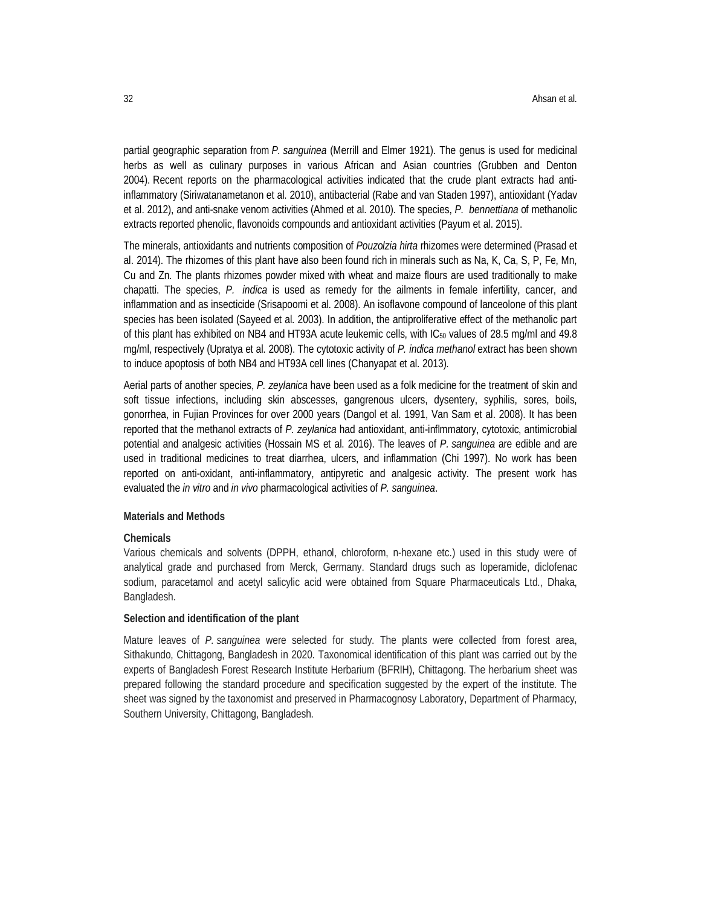partial geographic separation from *P. sanguinea* (Merrill and Elmer 1921). The genus is used for medicinal herbs as well as culinary purposes in various African and Asian countries (Grubben and Denton 2004). Recent reports on the pharmacological activities indicated that the crude plant extracts had antiinflammatory (Siriwatanametanon et al. 2010), antibacterial (Rabe and van Staden 1997), antioxidant (Yadav et al. 2012), and anti-snake venom activities (Ahmed et al. 2010). The species, *P. bennettiana* of methanolic extracts reported phenolic, flavonoids compounds and antioxidant activities (Payum et al. 2015).

The minerals, antioxidants and nutrients composition of *Pouzolzia hirta* rhizomes were determined (Prasad et al. 2014). The rhizomes of this plant have also been found rich in minerals such as Na, K, Ca, S, P, Fe, Mn, Cu and Zn. The plants rhizomes powder mixed with wheat and maize flours are used traditionally to make chapatti. The species, *P. indica* is used as remedy for the ailments in female infertility, cancer, and inflammation and as insecticide (Srisapoomi et al. 2008). An isoflavone compound of lanceolone of this plant species has been isolated (Sayeed et al. 2003). In addition, the antiproliferative effect of the methanolic part of this plant has exhibited on NB4 and HT93A acute leukemic cells, with IC<sub>50</sub> values of 28.5 mg/ml and 49.8 mg/ml, respectively (Upratya et al. 2008). The cytotoxic activity of *P. indica methanol* extract has been shown to induce apoptosis of both NB4 and HT93A cell lines (Chanyapat et al. 2013).

Aerial parts of another species, *P. zeylanica* have been used as a folk medicine for the treatment of skin and soft tissue infections, including skin abscesses, gangrenous ulcers, dysentery, syphilis, sores, boils, gonorrhea, in Fujian Provinces for over 2000 years (Dangol et al. 1991, Van Sam et al. 2008). It has been reported that the methanol extracts of *P. zeylanica* had antioxidant, anti-inflmmatory, cytotoxic, antimicrobial potential and analgesic activities (Hossain MS et al. 2016). The leaves of *P. sanguinea* are edible and are used in traditional medicines to treat diarrhea, ulcers, and inflammation (Chi 1997). No work has been reported on anti-oxidant, anti-inflammatory, antipyretic and analgesic activity. The present work has evaluated the *in vitro* and *in vivo* pharmacological activities of *P. sanguinea*.

### **Materials and Methods**

### **Chemicals**

Various chemicals and solvents (DPPH, ethanol, chloroform, n-hexane etc.) used in this study were of analytical grade and purchased from Merck, Germany. Standard drugs such as loperamide, diclofenac sodium, paracetamol and acetyl salicylic acid were obtained from Square Pharmaceuticals Ltd., Dhaka, Bangladesh.

### **Selection and identification of the plant**

Mature leaves of *P. sanguinea* were selected for study. The plants were collected from forest area, Sithakundo, Chittagong, Bangladesh in 2020. Taxonomical identification of this plant was carried out by the experts of Bangladesh Forest Research Institute Herbarium (BFRIH), Chittagong. The herbarium sheet was prepared following the standard procedure and specification suggested by the expert of the institute. The sheet was signed by the taxonomist and preserved in Pharmacognosy Laboratory, Department of Pharmacy, Southern University, Chittagong, Bangladesh.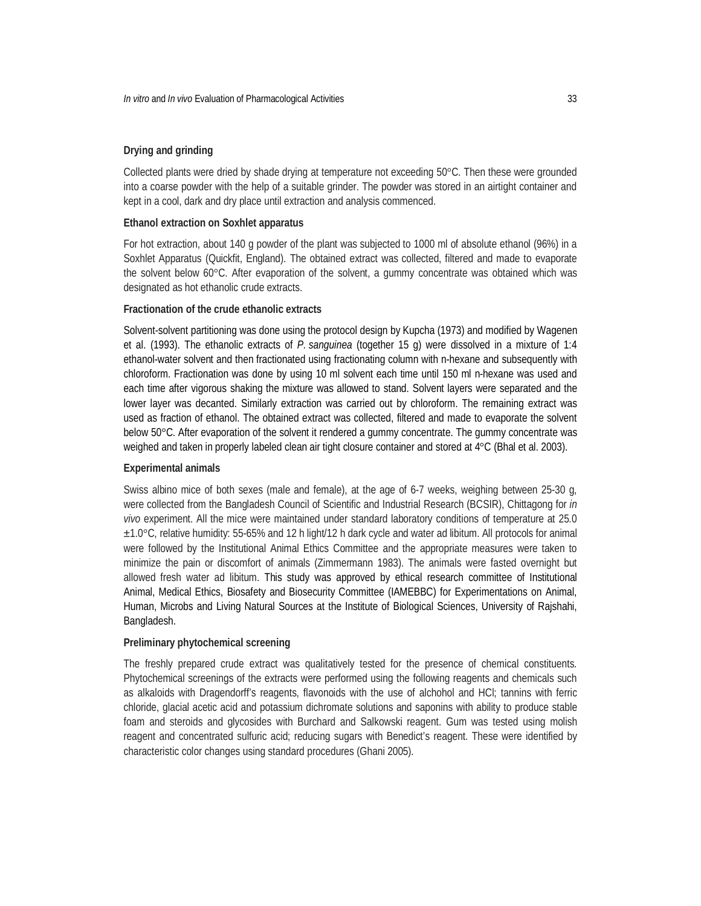# **Drying and grinding**

Collected plants were dried by shade drying at temperature not exceeding 50°C. Then these were grounded into a coarse powder with the help of a suitable grinder. The powder was stored in an airtight container and kept in a cool, dark and dry place until extraction and analysis commenced.

### **Ethanol extraction on Soxhlet apparatus**

For hot extraction, about 140 g powder of the plant was subjected to 1000 ml of absolute ethanol (96%) in a Soxhlet Apparatus (Quickfit, England). The obtained extract was collected, filtered and made to evaporate the solvent below 60°C. After evaporation of the solvent, a gummy concentrate was obtained which was designated as hot ethanolic crude extracts.

# **Fractionation of the crude ethanolic extracts**

Solvent-solvent partitioning was done using the protocol design by Kupcha (1973) and modified by Wagenen et al. (1993). The ethanolic extracts of *P. sanguinea* (together 15 g) were dissolved in a mixture of 1:4 ethanol-water solvent and then fractionated using fractionating column with n-hexane and subsequently with chloroform. Fractionation was done by using 10 ml solvent each time until 150 ml n-hexane was used and each time after vigorous shaking the mixture was allowed to stand. Solvent layers were separated and the lower layer was decanted. Similarly extraction was carried out by chloroform. The remaining extract was used as fraction of ethanol. The obtained extract was collected, filtered and made to evaporate the solvent below 50°C. After evaporation of the solvent it rendered a gummy concentrate. The gummy concentrate was weighed and taken in properly labeled clean air tight closure container and stored at 4°C (Bhal et al. 2003).

#### **Experimental animals**

Swiss albino mice of both sexes (male and female), at the age of 6-7 weeks, weighing between 25-30 g, were collected from the Bangladesh Council of Scientific and Industrial Research (BCSIR), Chittagong for *in vivo* experiment. All the mice were maintained under standard laboratory conditions of temperature at 25.0 ±1.0°C, relative humidity: 55-65% and 12 h light/12 h dark cycle and water ad libitum. All protocols for animal were followed by the Institutional Animal Ethics Committee and the appropriate measures were taken to minimize the pain or discomfort of animals (Zimmermann 1983). The animals were fasted overnight but allowed fresh water ad libitum. This study was approved by ethical research committee of Institutional Animal, Medical Ethics, Biosafety and Biosecurity Committee (IAMEBBC) for Experimentations on Animal, Human, Microbs and Living Natural Sources at the Institute of Biological Sciences, University of Rajshahi, Bangladesh.

# **Preliminary phytochemical screening**

The freshly prepared crude extract was qualitatively tested for the presence of chemical constituents. Phytochemical screenings of the extracts were performed using the following reagents and chemicals such as alkaloids with Dragendorff's reagents, flavonoids with the use of alchohol and HCl; tannins with ferric chloride, glacial acetic acid and potassium dichromate solutions and saponins with ability to produce stable foam and steroids and glycosides with Burchard and Salkowski reagent. Gum was tested using molish reagent and concentrated sulfuric acid; reducing sugars with Benedict's reagent. These were identified by characteristic color changes using standard procedures (Ghani 2005).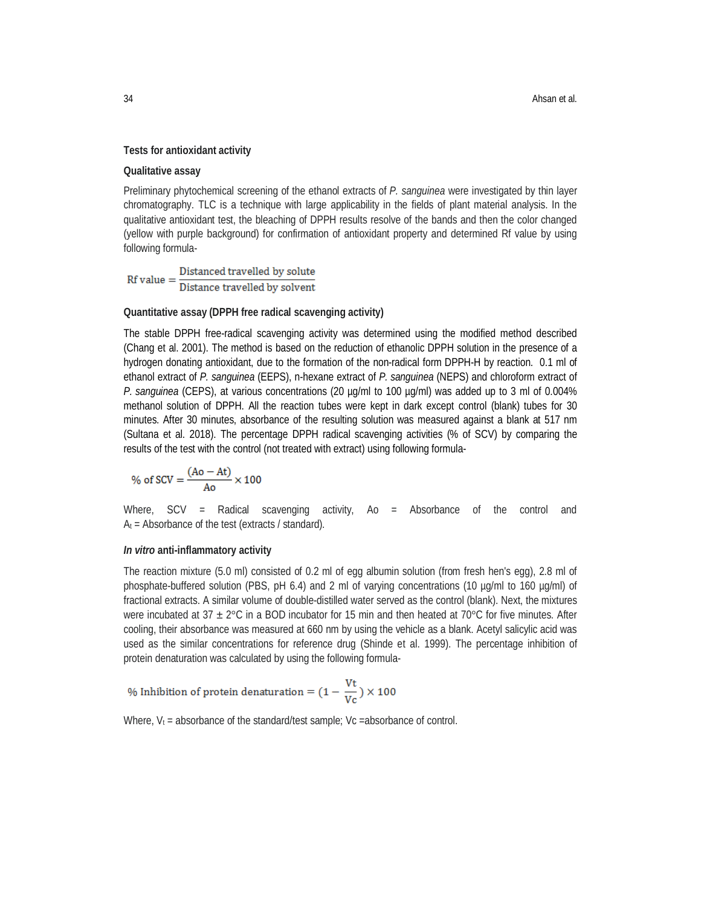# **Tests for antioxidant activity**

### **Qualitative assay**

Preliminary phytochemical screening of the ethanol extracts of *P. sanguinea* were investigated by thin layer chromatography. TLC is a technique with large applicability in the fields of plant material analysis. In the qualitative antioxidant test, the bleaching of DPPH results resolve of the bands and then the color changed (yellow with purple background) for confirmation of antioxidant property and determined Rf value by using following formula-

 $Rf value = \frac{Distanceed travelled by solute}{Distance travelled by solvent}$ 

# **Quantitative assay (DPPH free radical scavenging activity)**

The stable DPPH free-radical scavenging activity was determined using the modified method described (Chang et al. 2001). The method is based on the reduction of ethanolic DPPH solution in the presence of a hydrogen donating antioxidant, due to the formation of the non-radical form DPPH-H by reaction. 0.1 ml of ethanol extract of *P. sanguinea* (EEPS), n-hexane extract of *P. sanguinea* (NEPS) and chloroform extract of *P. sanguinea* (CEPS), at various concentrations (20 µg/ml to 100 µg/ml) was added up to 3 ml of 0.004% methanol solution of DPPH. All the reaction tubes were kept in dark except control (blank) tubes for 30 minutes. After 30 minutes, absorbance of the resulting solution was measured against a blank at 517 nm (Sultana et al. 2018). The percentage DPPH radical scavenging activities (% of SCV) by comparing the results of the test with the control (not treated with extract) using following formula-

% of SCV = 
$$
\frac{(Ao - At)}{Ao} \times 100
$$

Where, SCV = Radical scavenging activity, Ao = Absorbance of the control and  $A_t$  = Absorbance of the test (extracts / standard).

### *In vitro* **anti-inflammatory activity**

The reaction mixture (5.0 ml) consisted of 0.2 ml of egg albumin solution (from fresh hen's egg), 2.8 ml of phosphate-buffered solution (PBS, pH 6.4) and 2 ml of varying concentrations (10 µg/ml to 160 µg/ml) of fractional extracts. A similar volume of double-distilled water served as the control (blank). Next, the mixtures were incubated at 37  $\pm$  2°C in a BOD incubator for 15 min and then heated at 70°C for five minutes. After cooling, their absorbance was measured at 660 nm by using the vehicle as a blank. Acetyl salicylic acid was used as the similar concentrations for reference drug (Shinde et al. 1999). The percentage inhibition of protein denaturation was calculated by using the following formula-

% Inhibition of protein denaturation =  $(1 - \frac{Vt}{V_c}) \times 100$ 

Where,  $V_t$  = absorbance of the standard/test sample; Vc = absorbance of control.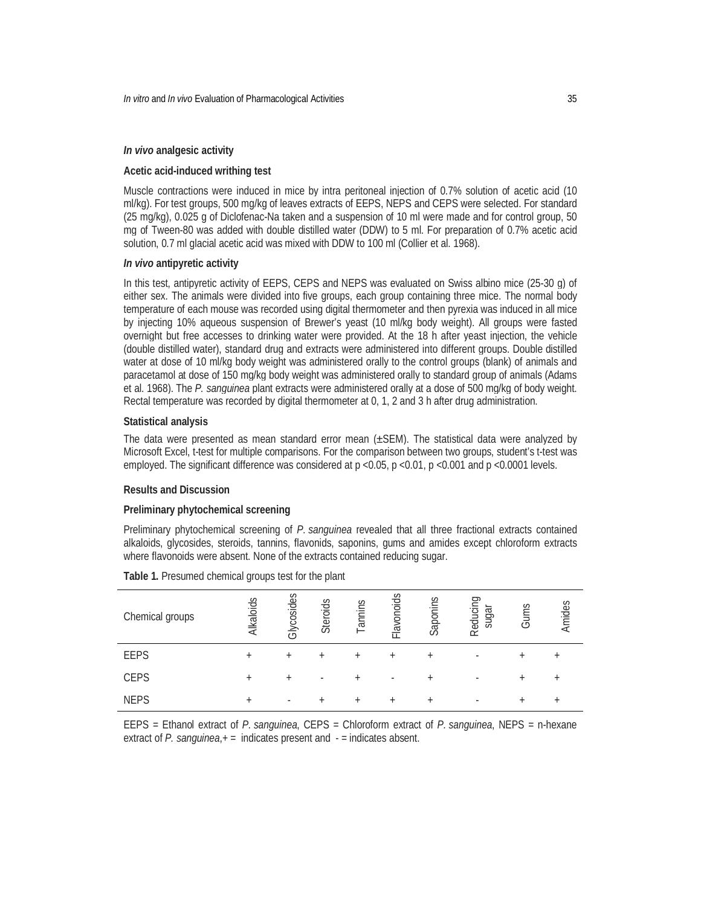# *In vivo* **analgesic activity**

# **Acetic acid-induced writhing test**

Muscle contractions were induced in mice by intra peritoneal injection of 0.7% solution of acetic acid (10 ml/kg). For test groups, 500 mg/kg of leaves extracts of EEPS, NEPS and CEPS were selected. For standard (25 mg/kg), 0.025 g of Diclofenac-Na taken and a suspension of 10 ml were made and for control group, 50 mg of Tween-80 was added with double distilled water (DDW) to 5 ml. For preparation of 0.7% acetic acid solution, 0.7 ml glacial acetic acid was mixed with DDW to 100 ml (Collier et al. 1968).

### *In vivo* **antipyretic activity**

In this test, antipyretic activity of EEPS, CEPS and NEPS was evaluated on Swiss albino mice (25-30 g) of either sex. The animals were divided into five groups, each group containing three mice. The normal body temperature of each mouse was recorded using digital thermometer and then pyrexia was induced in all mice by injecting 10% aqueous suspension of Brewer's yeast (10 ml/kg body weight). All groups were fasted overnight but free accesses to drinking water were provided. At the 18 h after yeast injection, the vehicle (double distilled water), standard drug and extracts were administered into different groups. Double distilled water at dose of 10 ml/kg body weight was administered orally to the control groups (blank) of animals and paracetamol at dose of 150 mg/kg body weight was administered orally to standard group of animals (Adams et al. 1968). The *P. sanguinea* plant extracts were administered orally at a dose of 500 mg/kg of body weight. Rectal temperature was recorded by digital thermometer at 0, 1, 2 and 3 h after drug administration.

### **Statistical analysis**

The data were presented as mean standard error mean (±SEM). The statistical data were analyzed by Microsoft Excel, t-test for multiple comparisons. For the comparison between two groups, student's t-test was employed. The significant difference was considered at  $p \lt 0.05$ ,  $p \lt 0.01$ ,  $p \lt 0.001$  and  $p \lt 0.0001$  levels.

### **Results and Discussion**

#### **Preliminary phytochemical screening**

Preliminary phytochemical screening of *P. sanguinea* revealed that all three fractional extracts contained alkaloids, glycosides, steroids, tannins, flavonids, saponins, gums and amides except chloroform extracts where flavonoids were absent. None of the extracts contained reducing sugar.

| Chemical groups | Alkaloids | Glycosides               | Steroids | annins   | lavonoids<br>Щ. | Saponins  | Reducir<br>sugal | Gums | Amides |
|-----------------|-----------|--------------------------|----------|----------|-----------------|-----------|------------------|------|--------|
| <b>EEPS</b>     | $\ddot{}$ | $\ddot{}$                |          |          | +               | $\ddot{}$ | ۰                |      |        |
| <b>CEPS</b>     | $\ddot{}$ |                          |          | $\,{}^+$ | ۰               | $\ddot{}$ |                  |      |        |
| <b>NEPS</b>     | $\ddot{}$ | $\overline{\phantom{a}}$ |          | $^+$     | $\ddot{}$       | $\,{}^+$  |                  | ٠    |        |

**Table 1.** Presumed chemical groups test for the plant

EEPS = Ethanol extract of *P. sanguinea*, CEPS = Chloroform extract of *P. sanguinea*, NEPS = n-hexane extract of *P. sanguinea*,+ = indicates present and - = indicates absent.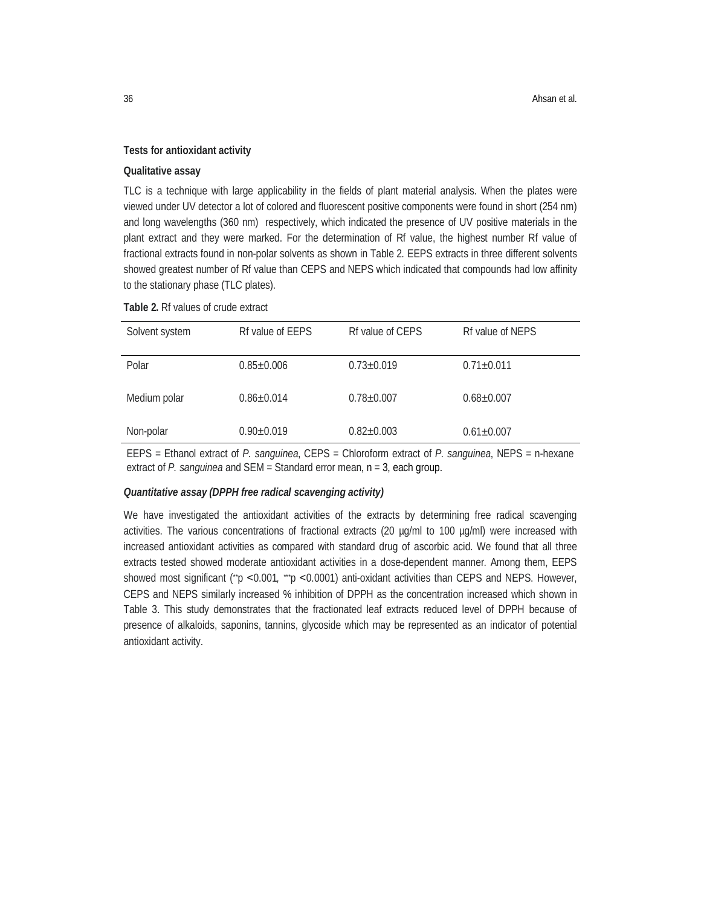# **Tests for antioxidant activity**

### **Qualitative assay**

TLC is a technique with large applicability in the fields of plant material analysis. When the plates were viewed under UV detector a lot of colored and fluorescent positive components were found in short (254 nm) and long wavelengths (360 nm) respectively, which indicated the presence of UV positive materials in the plant extract and they were marked. For the determination of Rf value, the highest number Rf value of fractional extracts found in non-polar solvents as shown in Table 2*.* EEPS extracts in three different solvents showed greatest number of Rf value than CEPS and NEPS which indicated that compounds had low affinity to the stationary phase (TLC plates).

### **Table 2.** Rf values of crude extract

| Solvent system | Rf value of EEPS | Rf value of CEPS | Rf value of NEPS |
|----------------|------------------|------------------|------------------|
| Polar          | $0.85 \pm 0.006$ | $0.73 \pm 0.019$ | $0.71 \pm 0.011$ |
| Medium polar   | $0.86 \pm 0.014$ | $0.78 \pm 0.007$ | $0.68 \pm 0.007$ |
| Non-polar      | $0.90 \pm 0.019$ | $0.82 \pm 0.003$ | $0.61 \pm 0.007$ |

EEPS = Ethanol extract of *P. sanguinea*, CEPS = Chloroform extract of *P. sanguinea*, NEPS = n-hexane extract of *P. sanguinea* and SEM = Standard error mean, n = 3, each group.

### *Quantitative assay (DPPH free radical scavenging activity)*

We have investigated the antioxidant activities of the extracts by determining free radical scavenging activities. The various concentrations of fractional extracts (20 µg/ml to 100 µg/ml) were increased with increased antioxidant activities as compared with standard drug of ascorbic acid. We found that all three extracts tested showed moderate antioxidant activities in a dose-dependent manner. Among them, EEPS showed most significant (<sup>\*</sup>p <0.001, <sup>\*\*</sup>p <0.0001) anti-oxidant activities than CEPS and NEPS. However, CEPS and NEPS similarly increased % inhibition of DPPH as the concentration increased which shown in Table 3. This study demonstrates that the fractionated leaf extracts reduced level of DPPH because of presence of alkaloids, saponins, tannins, glycoside which may be represented as an indicator of potential antioxidant activity.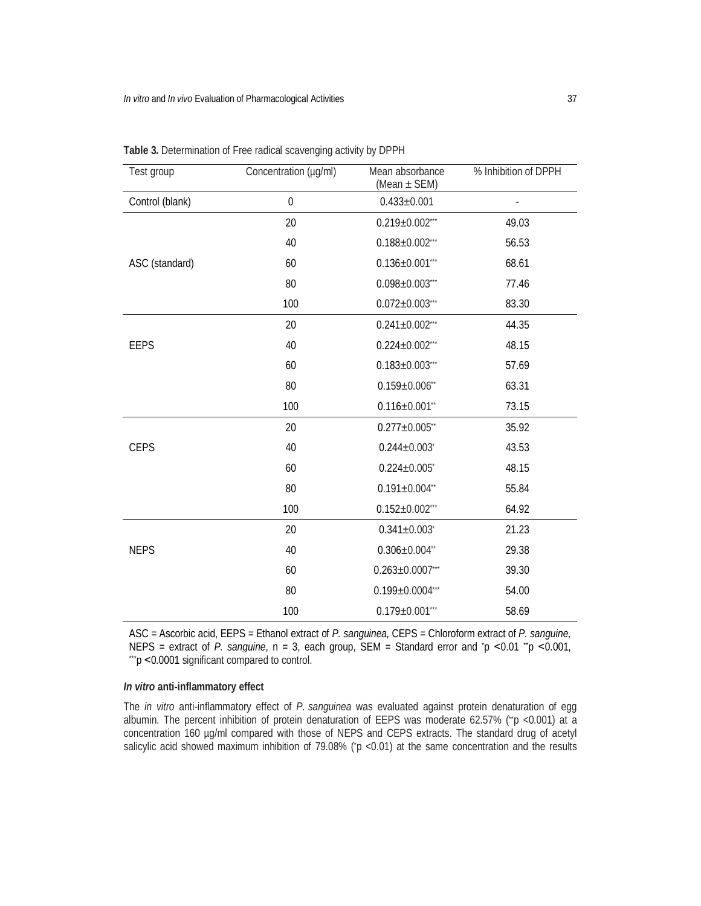| Test group      | Concentration (µg/ml) | Mean absorbance<br>(Mean ± SEM) | % Inhibition of DPPH |  |
|-----------------|-----------------------|---------------------------------|----------------------|--|
| Control (blank) | $\pmb{0}$             | $0.433 \pm 0.001$               |                      |  |
|                 | 20                    | $0.219 \pm 0.002$ ***           | 49.03                |  |
|                 | 40                    | $0.188 \pm 0.002$ ***           | 56.53                |  |
| ASC (standard)  | 60                    | $0.136 \pm 0.001$ ***           | 68.61                |  |
|                 | 80                    | $0.098 \pm 0.003$ ***           | 77.46                |  |
|                 | 100                   | $0.072 \pm 0.003$ ***           | 83.30                |  |
|                 | 20                    | $0.241 \pm 0.002$ ***           | 44.35                |  |
| <b>EEPS</b>     | 40                    | $0.224 \pm 0.002$ ***           | 48.15                |  |
|                 | 60                    | $0.183 \pm 0.003$ ***           | 57.69                |  |
|                 | 80                    | $0.159 \pm 0.006$ **            | 63.31                |  |
|                 | 100                   | $0.116 \pm 0.001$ "             | 73.15                |  |
|                 | 20                    | $0.277 \pm 0.005$ **            | 35.92                |  |
| <b>CEPS</b>     | 40                    | $0.244 \pm 0.003$               | 43.53                |  |
|                 | 60                    | $0.224 \pm 0.005$ *             | 48.15                |  |
|                 | 80                    | $0.191 \pm 0.004$ **            | 55.84                |  |
|                 | 100                   | $0.152 \pm 0.002$ ***           | 64.92                |  |
|                 | 20                    | $0.341 \pm 0.003$ *             | 21.23                |  |
| <b>NEPS</b>     | 40                    | $0.306 \pm 0.004$ **            | 29.38                |  |
|                 | 60                    | $0.263 \pm 0.0007$ ***          | 39.30                |  |
|                 | 80                    | $0.199 \pm 0.0004$ ***          | 54.00                |  |
|                 | 100                   | $0.179 \pm 0.001$ ***           | 58.69                |  |

**Table 3.** Determination of Free radical scavenging activity by DPPH

ASC = Ascorbic acid, EEPS = Ethanol extract of *P. sanguinea,* CEPS = Chloroform extract of *P. sanguine,*  NEPS = extract of *P. sanguine*,  $n = 3$ , each group, SEM = Standard error and  $p \le 0.01$   $p \le 0.001$ , \*\*\*p ˂0.0001 significant compared to control.

# *In vitro* **anti-inflammatory effect**

The *in vitro* anti-inflammatory effect of *P. sanguinea* was evaluated against protein denaturation of egg albumin. The percent inhibition of protein denaturation of EEPS was moderate 62.57% (\*p <0.001) at a concentration 160 µg/ml compared with those of NEPS and CEPS extracts. The standard drug of acetyl salicylic acid showed maximum inhibition of 79.08% ( $p$  <0.01) at the same concentration and the results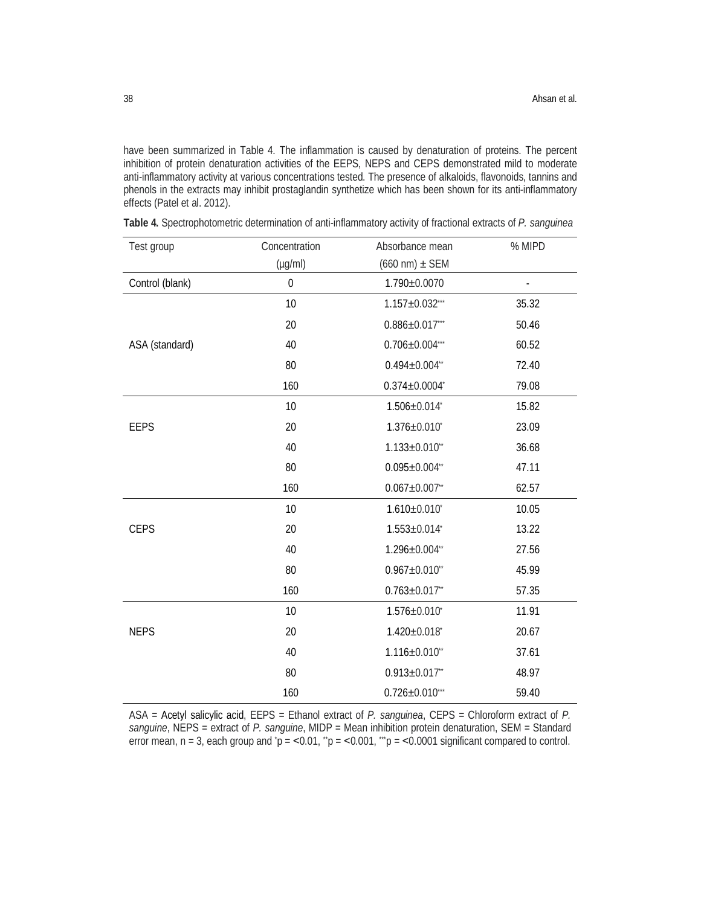have been summarized in Table 4. The inflammation is caused by denaturation of proteins. The percent inhibition of protein denaturation activities of the EEPS, NEPS and CEPS demonstrated mild to moderate anti-inflammatory activity at various concentrations tested. The presence of alkaloids, flavonoids, tannins and phenols in the extracts may inhibit prostaglandin synthetize which has been shown for its anti-inflammatory effects (Patel et al. 2012).

| Test group      | Concentration    | Absorbance mean                   | % MIPD                   |
|-----------------|------------------|-----------------------------------|--------------------------|
|                 | $(\mu g/ml)$     | $(660 \text{ nm}) \pm \text{SEM}$ |                          |
| Control (blank) | $\boldsymbol{0}$ | $1.790 \pm 0.0070$                | $\overline{\phantom{a}}$ |
|                 | 10               | $1.157 \pm 0.032$ ***             | 35.32                    |
|                 | 20               | $0.886 \pm 0.017$ ***             | 50.46                    |
| ASA (standard)  | 40               | $0.706 \pm 0.004$ ***             | 60.52                    |
|                 | 80               | $0.494 \pm 0.004$ **              | 72.40                    |
|                 | 160              | $0.374 \pm 0.0004^*$              | 79.08                    |
|                 | 10               | $1.506 \pm 0.014$                 | 15.82                    |
| <b>EEPS</b>     | 20               | $1.376 \pm 0.010^{\circ}$         | 23.09                    |
|                 | 40               | $1.133 \pm 0.010$ **              | 36.68                    |
|                 | 80               | $0.095 \pm 0.004$ **              | 47.11                    |
|                 | 160              | $0.067 \pm 0.007$ **              | 62.57                    |
|                 | 10               | $1.610\pm0.010^*$                 | 10.05                    |
| <b>CEPS</b>     | 20               | $1.553 \pm 0.014^*$               | 13.22                    |
|                 | 40               | $1.296 \pm 0.004$ **              | 27.56                    |
|                 | 80               | $0.967 \pm 0.010$ **              | 45.99                    |
|                 | 160              | $0.763 \pm 0.017$ **              | 57.35                    |
|                 | 10               | $1.576 \pm 0.010^*$               | 11.91                    |
| <b>NEPS</b>     | 20               | $1.420 \pm 0.018$                 | 20.67                    |
|                 | 40               | $1.116 \pm 0.010$ **              | 37.61                    |
|                 | 80               | $0.913 \pm 0.017$ **              | 48.97                    |
|                 | 160              | $0.726 \pm 0.010$ ***             | 59.40                    |

**Table 4.** Spectrophotometric determination of anti-inflammatory activity of fractional extracts of *P. sanguinea*

ASA = Acetyl salicylic acid, EEPS = Ethanol extract of *P. sanguinea*, CEPS = Chloroform extract of *P. sanguine*, NEPS = extract of *P. sanguine*, MIDP = Mean inhibition protein denaturation, SEM = Standard error mean,  $n = 3$ , each group and  $p = <0.01$ ,  $p = <0.001$ ,  $p = <0.0001$  significant compared to control.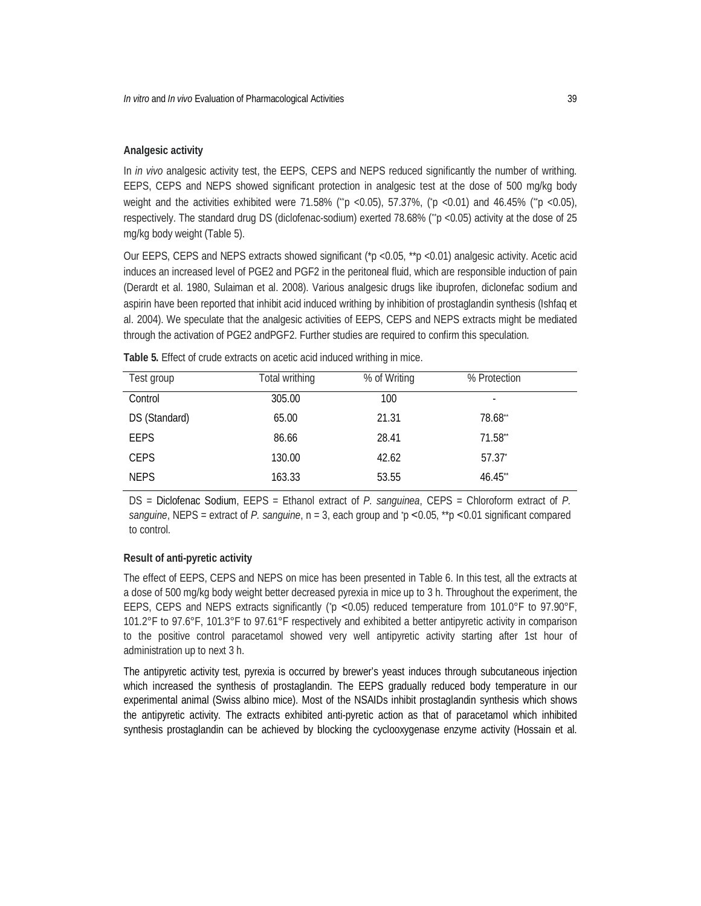# **Analgesic activity**

In *in vivo* analgesic activity test, the EEPS, CEPS and NEPS reduced significantly the number of writhing. EEPS, CEPS and NEPS showed significant protection in analgesic test at the dose of 500 mg/kg body weight and the activities exhibited were 71.58% ( $\ddot{p}$  <0.05), 57.37%, ( $\ddot{p}$  <0.01) and 46.45% ( $\ddot{p}$  <0.05), respectively. The standard drug DS (diclofenac-sodium) exerted 78.68% (*\*\**p <0.05) activity at the dose of 25 mg/kg body weight (Table 5).

Our EEPS, CEPS and NEPS extracts showed significant (\*p <0.05, \*\*p <0.01) analgesic activity. Acetic acid induces an increased level of PGE2 and PGF2 in the peritoneal fluid, which are responsible induction of pain (Derardt et al. 1980, Sulaiman et al. 2008). Various analgesic drugs like ibuprofen, diclonefac sodium and aspirin have been reported that inhibit acid induced writhing by inhibition of prostaglandin synthesis (Ishfaq et al. 2004). We speculate that the analgesic activities of EEPS, CEPS and NEPS extracts might be mediated through the activation of PGE2 andPGF2. Further studies are required to confirm this speculation.

| Test group    | Total writhing | % of Writing | % Protection             |
|---------------|----------------|--------------|--------------------------|
| Control       | 305.00         | 100          | $\overline{\phantom{a}}$ |
| DS (Standard) | 65.00          | 21.31        | 78.68**                  |
| <b>EEPS</b>   | 86.66          | 28.41        | $71.58$ **               |
| <b>CEPS</b>   | 130.00         | 42.62        | 57.37                    |
| <b>NEPS</b>   | 163.33         | 53.55        | 46.45**                  |

**Table 5.** Effect of crude extracts on acetic acid induced writhing in mice.

DS = Diclofenac Sodium, EEPS = Ethanol extract of *P. sanguinea*, CEPS = Chloroform extract of *P. sanguine*, NEPS = extract of *P. sanguine*, n = 3, each group and *\**p ˂0.05, \*\*p ˂0.01 significant compared to control.

### **Result of anti-pyretic activity**

The effect of EEPS, CEPS and NEPS on mice has been presented in Table 6. In this test, all the extracts at a dose of 500 mg/kg body weight better decreased pyrexia in mice up to 3 h. Throughout the experiment, the EEPS, CEPS and NEPS extracts significantly (*\**p ˂0.05) reduced temperature from 101.0°F to 97.90°F, 101.2°F to 97.6°F, 101.3°F to 97.61°F respectively and exhibited a better antipyretic activity in comparison to the positive control paracetamol showed very well antipyretic activity starting after 1st hour of administration up to next 3 h.

The antipyretic activity test, pyrexia is occurred by brewer's yeast induces through subcutaneous injection which increased the synthesis of prostaglandin. The EEPS gradually reduced body temperature in our experimental animal (Swiss albino mice). Most of the NSAIDs inhibit prostaglandin synthesis which shows the antipyretic activity. The extracts exhibited anti-pyretic action as that of paracetamol which inhibited synthesis prostaglandin can be achieved by blocking the cyclooxygenase enzyme activity (Hossain et al.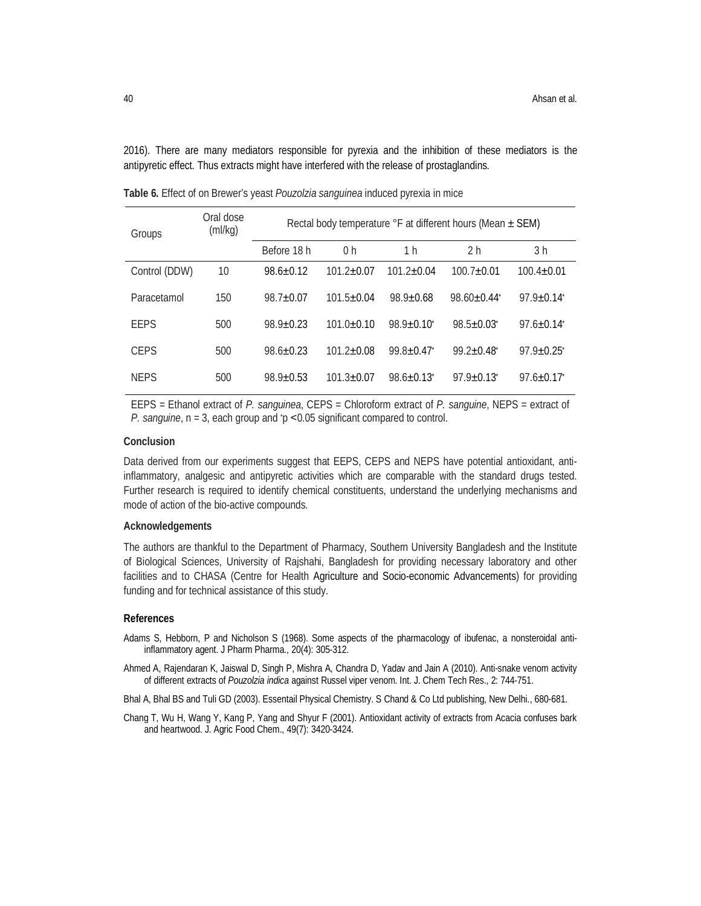2016). There are many mediators responsible for pyrexia and the inhibition of these mediators is the antipyretic effect. Thus extracts might have interfered with the release of prostaglandins.

| Groups        | Oral dose<br>(mI/kg) | Rectal body temperature ${}^{\circ}$ F at different hours (Mean $\pm$ SEM) |                |                         |                              |                              |  |
|---------------|----------------------|----------------------------------------------------------------------------|----------------|-------------------------|------------------------------|------------------------------|--|
|               |                      | Before 18 h                                                                | 0 <sub>h</sub> | 1 h                     | 2 <sub>h</sub>               | 3 h                          |  |
| Control (DDW) | 10                   | $98.6 \pm 0.12$                                                            | $101.2 + 0.07$ | $101.2 + 0.04$          | $100.7 + 0.01$               | $100.4 + 0.01$               |  |
| Paracetamol   | 150                  | $98.7 + 0.07$                                                              | $101.5 + 0.04$ | $98.9 + 0.68$           | $98.60 + 0.44$               | $97.9 \pm 0.14$              |  |
| EEPS          | 500                  | $98.9 + 0.23$                                                              | $101.0 + 0.10$ | $98.9 \pm 0.10^{\circ}$ | $98.5 \pm 0.03$ <sup>*</sup> | $97.6 \pm 0.14$ <sup>*</sup> |  |
| CFPS          | 500                  | $98.6 + 0.23$                                                              | $101.2 + 0.08$ | $99.8 + 0.47$           | $99.2 + 0.48$                | $97.9 \pm 0.25$              |  |
| <b>NFPS</b>   | 500                  | $98.9 + 0.53$                                                              | $101.3 + 0.07$ | $98.6 + 0.13$           | $97.9 + 0.13$                | $97.6 + 0.17$                |  |

**Table 6.** Effect of on Brewer's yeast *Pouzolzia sanguinea* induced pyrexia in mice

EEPS = Ethanol extract of *P. sanguinea*, CEPS = Chloroform extract of *P. sanguine*, NEPS = extract of *P. sanguine*, n = 3, each group and *\**p ˂0.05 significant compared to control.

# **Conclusion**

Data derived from our experiments suggest that EEPS, CEPS and NEPS have potential antioxidant, antiinflammatory, analgesic and antipyretic activities which are comparable with the standard drugs tested. Further research is required to identify chemical constituents, understand the underlying mechanisms and mode of action of the bio-active compounds.

### **Acknowledgements**

The authors are thankful to the Department of Pharmacy, Southern University Bangladesh and the Institute of Biological Sciences, University of Rajshahi, Bangladesh for providing necessary laboratory and other facilities and to CHASA (Centre for Health Agriculture and Socio-economic Advancements) for providing funding and for technical assistance of this study.

#### **References**

- Adams S, Hebborn, P and Nicholson S (1968). Some aspects of the pharmacology of ibufenac, a nonsteroidal antiinflammatory agent. J Pharm Pharma., 20(4): 305-312.
- Ahmed A, Rajendaran K, Jaiswal D, Singh P, Mishra A, Chandra D, Yadav and Jain A (2010). Anti-snake venom activity of different extracts of *Pouzolzia indica* against Russel viper venom. Int. J. Chem Tech Res., 2: 744-751.
- Bhal A, Bhal BS and Tuli GD (2003). Essentail Physical Chemistry. S Chand & Co Ltd publishing, New Delhi., 680-681.
- Chang T, Wu H, Wang Y, Kang P, Yang and Shyur F (2001). Antioxidant activity of extracts from Acacia confuses bark and heartwood. J. Agric Food Chem., 49(7): 3420-3424.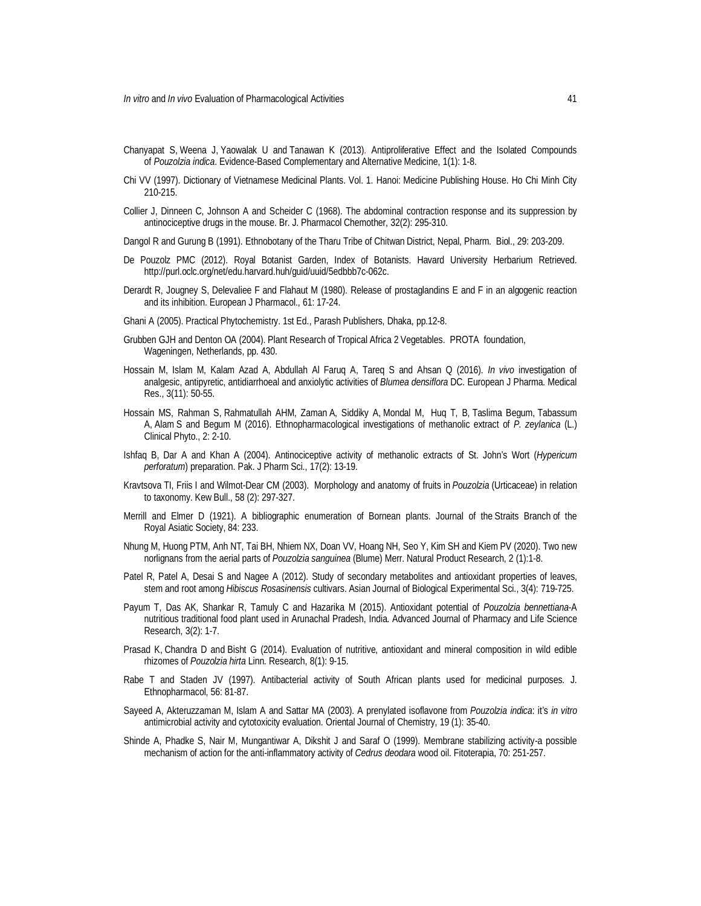- Chanyapat S, Weena J, Yaowalak U and Tanawan K (2013). Antiproliferative Effect and the Isolated Compounds of *Pouzolzia indica*. Evidence-Based Complementary and Alternative Medicine, 1(1): 1-8.
- Chi VV (1997). Dictionary of Vietnamese Medicinal Plants. Vol. 1. Hanoi: Medicine Publishing House. Ho Chi Minh City 210-215.
- Collier J, Dinneen C, Johnson A and Scheider C (1968). The abdominal contraction response and its suppression by antinociceptive drugs in the mouse. Br. J. Pharmacol Chemother, 32(2): 295-310.
- Dangol R and Gurung B (1991). Ethnobotany of the Tharu Tribe of Chitwan District, Nepal, Pharm. Biol., 29: 203-209.
- De Pouzolz PMC (2012). Royal Botanist Garden, Index of Botanists. Havard University Herbarium Retrieved. http://purl.oclc.org/net/edu.harvard.huh/guid/uuid/5edbbb7c-062c.
- Derardt R, Jougney S, Delevaliee F and Flahaut M (1980). Release of prostaglandins E and F in an algogenic reaction and its inhibition. European J Pharmacol., 61: 17-24.
- Ghani A (2005). Practical Phytochemistry. 1st Ed., Parash Publishers, Dhaka, pp.12-8.
- Grubben GJH and Denton OA (2004). Plant Research of Tropical Africa 2 Vegetables. PROTA foundation, Wageningen, Netherlands, pp. 430.
- Hossain M, Islam M, Kalam Azad A, Abdullah Al Faruq A, Tareq S and Ahsan Q (2016). *In vivo* investigation of analgesic, antipyretic, antidiarrhoeal and anxiolytic activities of *Blumea densiflora* DC. European J Pharma. Medical Res., 3(11): 50-55.
- Hossain MS, Rahman S, Rahmatullah AHM, Zaman A, Siddiky A, Mondal M, Huq T, B, Taslima Begum, Tabassum A, Alam S and Begum M (2016). Ethnopharmacological investigations of methanolic extract of *P. zeylanica* (L.) Clinical Phyto., 2: 2-10.
- Ishfaq B, Dar A and Khan A (2004). Antinociceptive activity of methanolic extracts of St. John's Wort (*Hypericum perforatum*) preparation. Pak. J Pharm Sci., 17(2): 13-19.
- Kravtsova TI, Friis I and Wilmot-Dear CM (2003). Morphology and anatomy of fruits in *Pouzolzia* (Urticaceae) in relation to taxonomy. Kew Bull., 58 (2): 297-327.
- Merrill and Elmer D (1921). A bibliographic enumeration of Bornean plants. Journal of the Straits Branch of the Royal Asiatic Society, 84: 233.
- Nhung M, Huong PTM, Anh NT, Tai BH, Nhiem NX, Doan VV, Hoang NH, Seo Y, Kim SH and Kiem PV (2020). Two new norlignans from the aerial parts of *Pouzolzia sanguinea* (Blume) Merr. Natural Product Research, 2 (1):1-8.
- Patel R, Patel A, Desai S and Nagee A (2012). Study of secondary metabolites and antioxidant properties of leaves, stem and root among *Hibiscus Rosasinensis* cultivars. Asian Journal of Biological Experimental Sci., 3(4): 719-725.
- Payum T, Das AK, Shankar R, Tamuly C and Hazarika M (2015). Antioxidant potential of *Pouzolzia bennettiana*-A nutritious traditional food plant used in Arunachal Pradesh, India. Advanced Journal of Pharmacy and Life Science Research, 3(2): 1-7.
- Prasad K, Chandra D and Bisht G (2014). Evaluation of nutritive, antioxidant and mineral composition in wild edible rhizomes of *Pouzolzia hirta* Linn. Research, 8(1): 9-15.
- Rabe T and Staden JV (1997). Antibacterial activity of South African plants used for medicinal purposes. J. Ethnopharmacol, 56: 81-87.
- Sayeed A, Akteruzzaman M, Islam A and Sattar MA (2003). A prenylated isoflavone from *Pouzolzia indica*: it's *in vitro* antimicrobial activity and cytotoxicity evaluation. Oriental Journal of Chemistry, 19 (1): 35-40.
- Shinde A, Phadke S, Nair M, Mungantiwar A, Dikshit J and Saraf O (1999). Membrane stabilizing activity-a possible mechanism of action for the anti-inflammatory activity of *Cedrus deodara* wood oil. Fitoterapia, 70: 251-257.